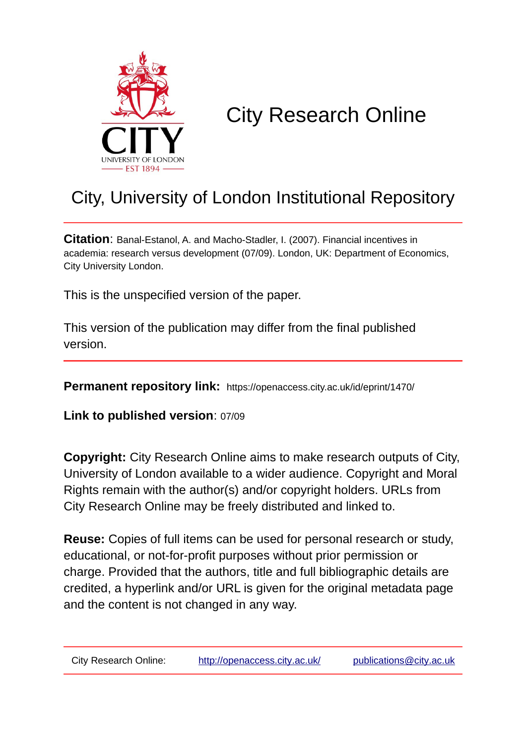

# City Research Online

## City, University of London Institutional Repository

**Citation**: Banal-Estanol, A. and Macho-Stadler, I. (2007). Financial incentives in academia: research versus development (07/09). London, UK: Department of Economics, City University London.

This is the unspecified version of the paper.

This version of the publication may differ from the final published version.

**Permanent repository link:** https://openaccess.city.ac.uk/id/eprint/1470/

**Link to published version**: 07/09

**Copyright:** City Research Online aims to make research outputs of City, University of London available to a wider audience. Copyright and Moral Rights remain with the author(s) and/or copyright holders. URLs from City Research Online may be freely distributed and linked to.

**Reuse:** Copies of full items can be used for personal research or study, educational, or not-for-profit purposes without prior permission or charge. Provided that the authors, title and full bibliographic details are credited, a hyperlink and/or URL is given for the original metadata page and the content is not changed in any way.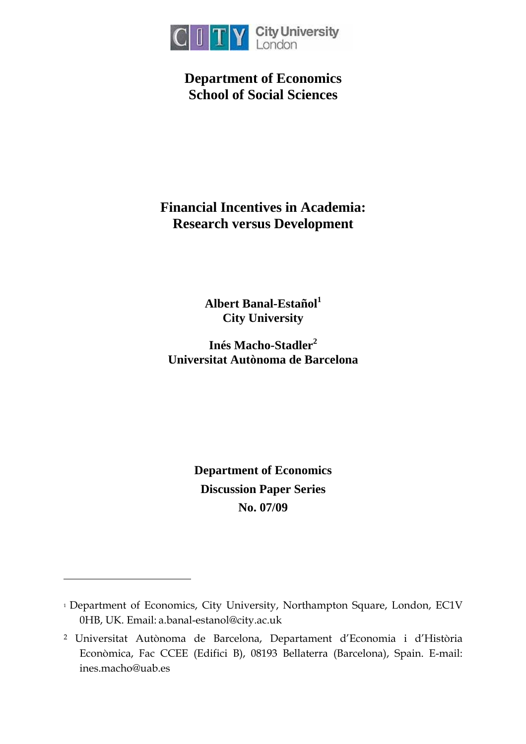

**Department of Economics School of Social Sciences** 

## **Financial Incentives in Academia: Research versus Development**

**Albert Banal-Estaño[l1](#page-1-0) City University** 

**Inés Macho-Stadler [2](#page-1-1) Universitat Autònoma de Barcelona** 

> **Department of Economics Discussion Paper Series No. 07/09**

 $\overline{a}$ 

<span id="page-1-0"></span><sup>&</sup>lt;sup>1</sup> Department of Economics, City University, Northampton Square, London, EC1V 0HB, UK. Email: a.banal-estanol@city.ac.uk

<span id="page-1-1"></span><sup>2</sup> Universitat Autònoma de Barcelona, Departament d'Economia i d'Història Econòmica, Fac CCEE (Edifici B), 08193 Bellaterra (Barcelona), Spain. E-mail: ines.macho@uab.es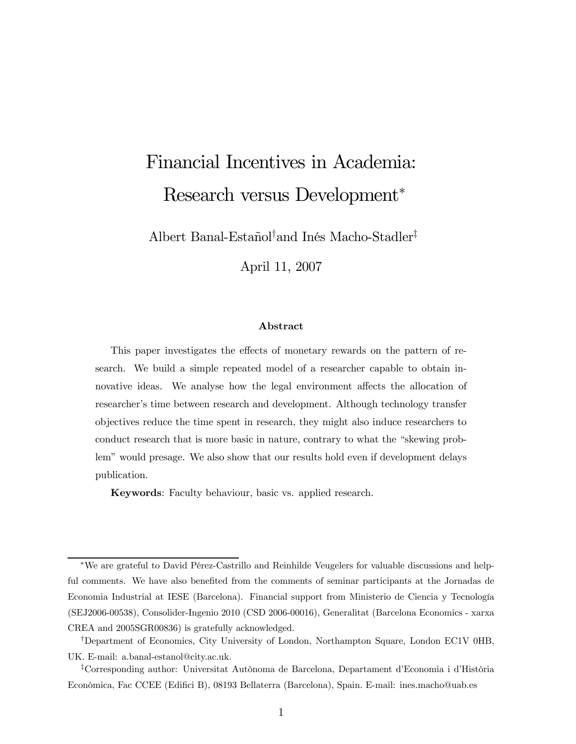# Financial Incentives in Academia: Research versus Development<sup>∗</sup>

Albert Banal-Estañol† and Inés Macho-Stadler‡

April 11, 2007

#### Abstract

This paper investigates the effects of monetary rewards on the pattern of research. We build a simple repeated model of a researcher capable to obtain innovative ideas. We analyse how the legal environment affects the allocation of researcher's time between research and development. Although technology transfer objectives reduce the time spent in research, they might also induce researchers to conduct research that is more basic in nature, contrary to what the "skewing problem" would presage. We also show that our results hold even if development delays publication.

Keywords: Faculty behaviour, basic vs. applied research.

<sup>∗</sup>We are grateful to David Pérez-Castrillo and Reinhilde Veugelers for valuable discussions and helpful comments. We have also benefited from the comments of seminar participants at the Jornadas de Economia Industrial at IESE (Barcelona). Financial support from Ministerio de Ciencia y Tecnología (SEJ2006-00538), Consolider-Ingenio 2010 (CSD 2006-00016), Generalitat (Barcelona Economics - xarxa CREA and 2005SGR00836) is gratefully acknowledged.

<sup>†</sup>Department of Economics, City University of London, Northampton Square, London EC1V 0HB, UK. E-mail: a.banal-estanol@city.ac.uk.

<sup>‡</sup>Corresponding author: Universitat Autònoma de Barcelona, Departament d'Economia i d'Història Econòmica, Fac CCEE (Edifici B), 08193 Bellaterra (Barcelona), Spain. E-mail: ines.macho@uab.es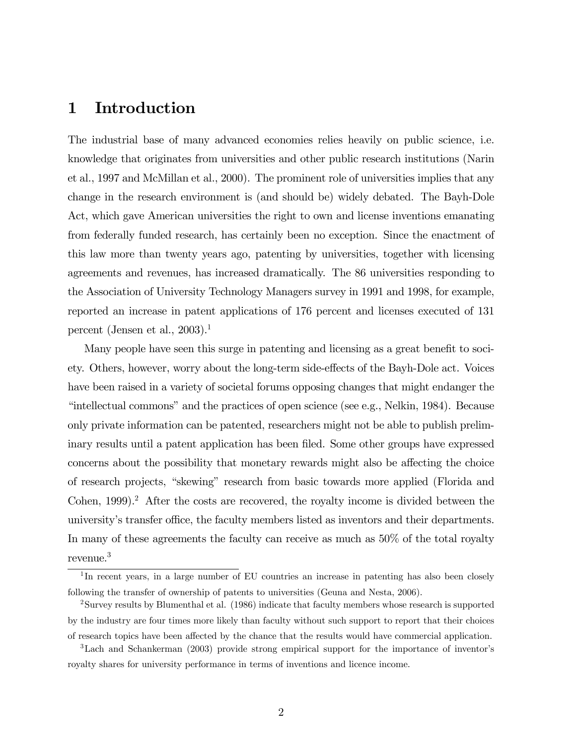### 1 Introduction

The industrial base of many advanced economies relies heavily on public science, i.e. knowledge that originates from universities and other public research institutions (Narin et al., 1997 and McMillan et al., 2000). The prominent role of universities implies that any change in the research environment is (and should be) widely debated. The Bayh-Dole Act, which gave American universities the right to own and license inventions emanating from federally funded research, has certainly been no exception. Since the enactment of this law more than twenty years ago, patenting by universities, together with licensing agreements and revenues, has increased dramatically. The 86 universities responding to the Association of University Technology Managers survey in 1991 and 1998, for example, reported an increase in patent applications of 176 percent and licenses executed of 131 percent (Jensen et al.,  $2003$ ).<sup>1</sup>

Many people have seen this surge in patenting and licensing as a great benefit to society. Others, however, worry about the long-term side-effects of the Bayh-Dole act. Voices have been raised in a variety of societal forums opposing changes that might endanger the "intellectual commons" and the practices of open science (see e.g., Nelkin, 1984). Because only private information can be patented, researchers might not be able to publish preliminary results until a patent application has been filed. Some other groups have expressed concerns about the possibility that monetary rewards might also be affecting the choice of research projects, "skewing" research from basic towards more applied (Florida and Cohen, 1999).<sup>2</sup> After the costs are recovered, the royalty income is divided between the university's transfer office, the faculty members listed as inventors and their departments. In many of these agreements the faculty can receive as much as 50% of the total royalty revenue.3

<sup>&</sup>lt;sup>1</sup>In recent years, in a large number of EU countries an increase in patenting has also been closely following the transfer of ownership of patents to universities (Geuna and Nesta, 2006).

<sup>2</sup>Survey results by Blumenthal et al. (1986) indicate that faculty members whose research is supported by the industry are four times more likely than faculty without such support to report that their choices of research topics have been affected by the chance that the results would have commercial application.

<sup>3</sup>Lach and Schankerman (2003) provide strong empirical support for the importance of inventor's royalty shares for university performance in terms of inventions and licence income.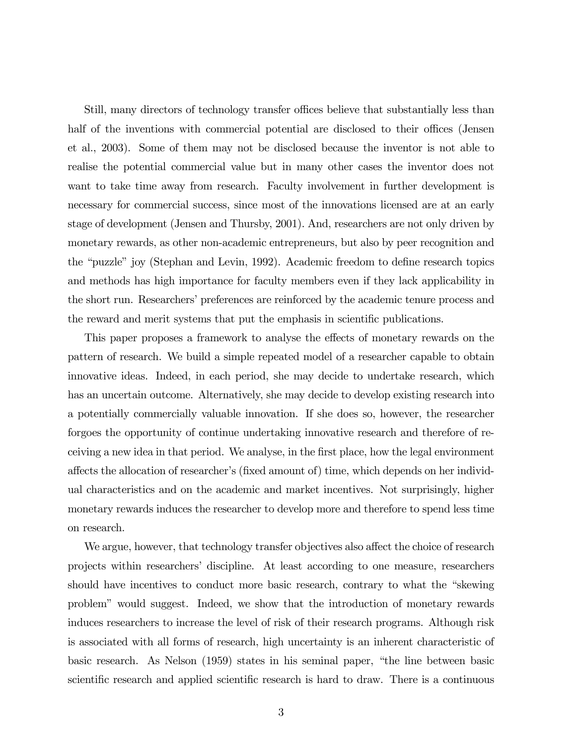Still, many directors of technology transfer offices believe that substantially less than half of the inventions with commercial potential are disclosed to their offices (Jensen et al., 2003). Some of them may not be disclosed because the inventor is not able to realise the potential commercial value but in many other cases the inventor does not want to take time away from research. Faculty involvement in further development is necessary for commercial success, since most of the innovations licensed are at an early stage of development (Jensen and Thursby, 2001). And, researchers are not only driven by monetary rewards, as other non-academic entrepreneurs, but also by peer recognition and the "puzzle" joy (Stephan and Levin, 1992). Academic freedom to define research topics and methods has high importance for faculty members even if they lack applicability in the short run. Researchers' preferences are reinforced by the academic tenure process and the reward and merit systems that put the emphasis in scientific publications.

This paper proposes a framework to analyse the effects of monetary rewards on the pattern of research. We build a simple repeated model of a researcher capable to obtain innovative ideas. Indeed, in each period, she may decide to undertake research, which has an uncertain outcome. Alternatively, she may decide to develop existing research into a potentially commercially valuable innovation. If she does so, however, the researcher forgoes the opportunity of continue undertaking innovative research and therefore of receiving a new idea in that period. We analyse, in the first place, how the legal environment affects the allocation of researcher's (fixed amount of) time, which depends on her individual characteristics and on the academic and market incentives. Not surprisingly, higher monetary rewards induces the researcher to develop more and therefore to spend less time on research.

We argue, however, that technology transfer objectives also affect the choice of research projects within researchers' discipline. At least according to one measure, researchers should have incentives to conduct more basic research, contrary to what the "skewing problem" would suggest. Indeed, we show that the introduction of monetary rewards induces researchers to increase the level of risk of their research programs. Although risk is associated with all forms of research, high uncertainty is an inherent characteristic of basic research. As Nelson (1959) states in his seminal paper, "the line between basic scientific research and applied scientific research is hard to draw. There is a continuous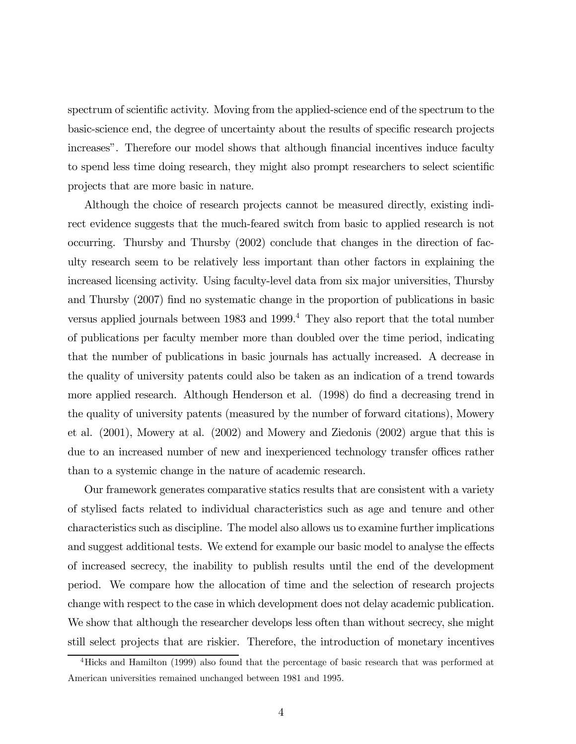spectrum of scientific activity. Moving from the applied-science end of the spectrum to the basic-science end, the degree of uncertainty about the results of specific research projects increases". Therefore our model shows that although financial incentives induce faculty to spend less time doing research, they might also prompt researchers to select scientific projects that are more basic in nature.

Although the choice of research projects cannot be measured directly, existing indirect evidence suggests that the much-feared switch from basic to applied research is not occurring. Thursby and Thursby (2002) conclude that changes in the direction of faculty research seem to be relatively less important than other factors in explaining the increased licensing activity. Using faculty-level data from six major universities, Thursby and Thursby (2007) find no systematic change in the proportion of publications in basic versus applied journals between 1983 and 1999.4 They also report that the total number of publications per faculty member more than doubled over the time period, indicating that the number of publications in basic journals has actually increased. A decrease in the quality of university patents could also be taken as an indication of a trend towards more applied research. Although Henderson et al. (1998) do find a decreasing trend in the quality of university patents (measured by the number of forward citations), Mowery et al. (2001), Mowery at al. (2002) and Mowery and Ziedonis (2002) argue that this is due to an increased number of new and inexperienced technology transfer offices rather than to a systemic change in the nature of academic research.

Our framework generates comparative statics results that are consistent with a variety of stylised facts related to individual characteristics such as age and tenure and other characteristics such as discipline. The model also allows us to examine further implications and suggest additional tests. We extend for example our basic model to analyse the effects of increased secrecy, the inability to publish results until the end of the development period. We compare how the allocation of time and the selection of research projects change with respect to the case in which development does not delay academic publication. We show that although the researcher develops less often than without secrecy, she might still select projects that are riskier. Therefore, the introduction of monetary incentives

<sup>4</sup>Hicks and Hamilton (1999) also found that the percentage of basic research that was performed at American universities remained unchanged between 1981 and 1995.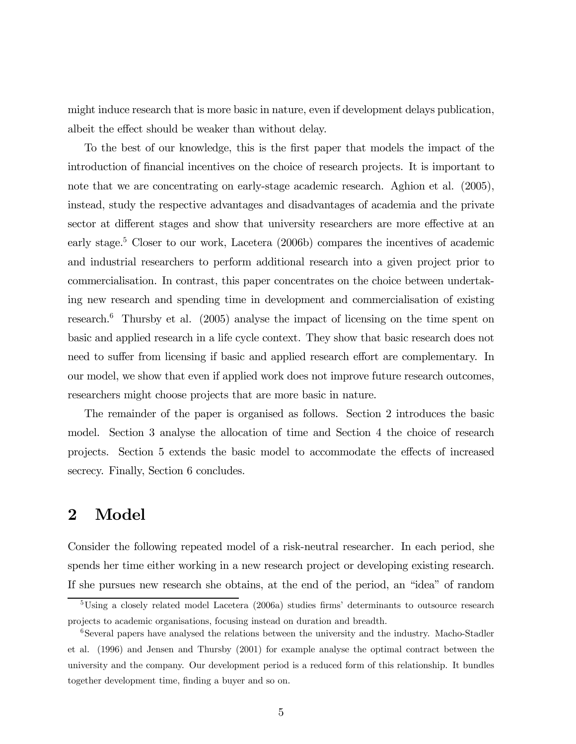might induce research that is more basic in nature, even if development delays publication, albeit the effect should be weaker than without delay.

To the best of our knowledge, this is the first paper that models the impact of the introduction of financial incentives on the choice of research projects. It is important to note that we are concentrating on early-stage academic research. Aghion et al. (2005), instead, study the respective advantages and disadvantages of academia and the private sector at different stages and show that university researchers are more effective at an early stage.<sup>5</sup> Closer to our work, Lacetera (2006b) compares the incentives of academic and industrial researchers to perform additional research into a given project prior to commercialisation. In contrast, this paper concentrates on the choice between undertaking new research and spending time in development and commercialisation of existing research.6 Thursby et al. (2005) analyse the impact of licensing on the time spent on basic and applied research in a life cycle context. They show that basic research does not need to suffer from licensing if basic and applied research effort are complementary. In our model, we show that even if applied work does not improve future research outcomes, researchers might choose projects that are more basic in nature.

The remainder of the paper is organised as follows. Section 2 introduces the basic model. Section 3 analyse the allocation of time and Section 4 the choice of research projects. Section 5 extends the basic model to accommodate the effects of increased secrecy. Finally, Section 6 concludes.

### 2 Model

Consider the following repeated model of a risk-neutral researcher. In each period, she spends her time either working in a new research project or developing existing research. If she pursues new research she obtains, at the end of the period, an "idea" of random

<sup>&</sup>lt;sup>5</sup>Using a closely related model Lacetera (2006a) studies firms' determinants to outsource research projects to academic organisations, focusing instead on duration and breadth.

<sup>&</sup>lt;sup>6</sup>Several papers have analysed the relations between the university and the industry. Macho-Stadler et al. (1996) and Jensen and Thursby (2001) for example analyse the optimal contract between the university and the company. Our development period is a reduced form of this relationship. It bundles together development time, finding a buyer and so on.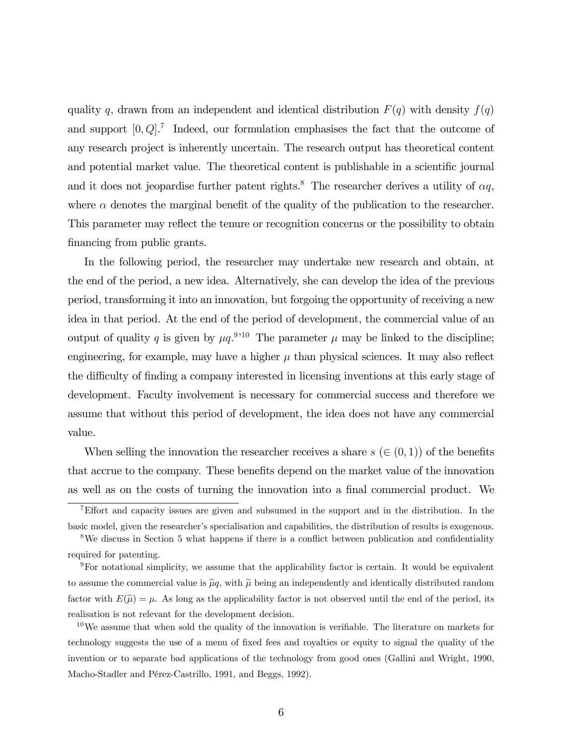quality q, drawn from an independent and identical distribution  $F(q)$  with density  $f(q)$ and support  $[0, Q]$ <sup>7</sup> Indeed, our formulation emphasises the fact that the outcome of any research project is inherently uncertain. The research output has theoretical content and potential market value. The theoretical content is publishable in a scientific journal and it does not jeopardise further patent rights.<sup>8</sup> The researcher derives a utility of  $\alpha q$ , where  $\alpha$  denotes the marginal benefit of the quality of the publication to the researcher. This parameter may reflect the tenure or recognition concerns or the possibility to obtain financing from public grants.

In the following period, the researcher may undertake new research and obtain, at the end of the period, a new idea. Alternatively, she can develop the idea of the previous period, transforming it into an innovation, but forgoing the opportunity of receiving a new idea in that period. At the end of the period of development, the commercial value of an output of quality q is given by  $\mu q$ .<sup>9,10</sup> The parameter  $\mu$  may be linked to the discipline; engineering, for example, may have a higher  $\mu$  than physical sciences. It may also reflect the difficulty of finding a company interested in licensing inventions at this early stage of development. Faculty involvement is necessary for commercial success and therefore we assume that without this period of development, the idea does not have any commercial value.

When selling the innovation the researcher receives a share  $s \in (0,1)$  of the benefits that accrue to the company. These benefits depend on the market value of the innovation as well as on the costs of turning the innovation into a final commercial product. We

<sup>&</sup>lt;sup>7</sup>Effort and capacity issues are given and subsumed in the support and in the distribution. In the basic model, given the researcher's specialisation and capabilities, the distribution of results is exogenous.

<sup>&</sup>lt;sup>8</sup>We discuss in Section 5 what happens if there is a conflict between publication and confidentiality required for patenting.

 $9$ For notational simplicity, we assume that the applicability factor is certain. It would be equivalent to assume the commercial value is  $\tilde{\mu}q$ , with  $\tilde{\mu}$  being an independently and identically distributed random factor with  $E(\tilde{\mu}) = \mu$ . As long as the applicability factor is not observed until the end of the period, its realisation is not relevant for the development decision.

 $10\,\text{We assume that when sold the quality of the innovation is verifiable. The literature on markets for }$ technology suggests the use of a menu of fixed fees and royalties or equity to signal the quality of the invention or to separate bad applications of the technology from good ones (Gallini and Wright, 1990, Macho-Stadler and Pérez-Castrillo, 1991, and Beggs, 1992).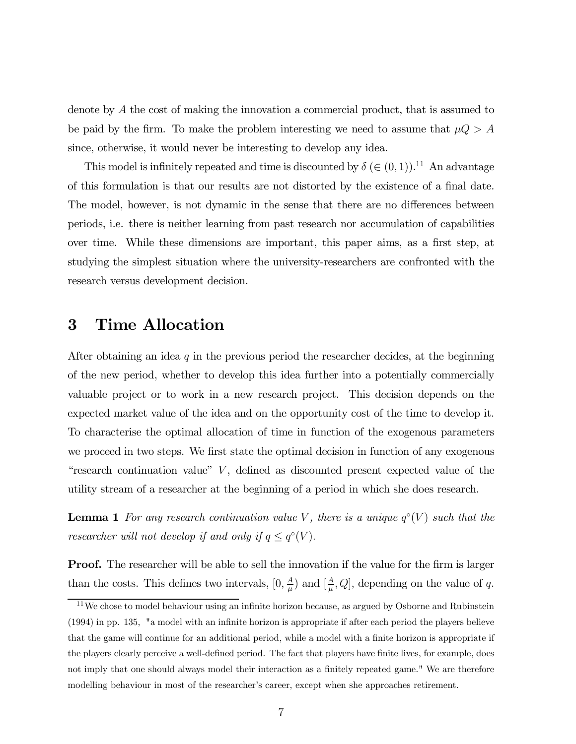denote by A the cost of making the innovation a commercial product, that is assumed to be paid by the firm. To make the problem interesting we need to assume that  $\mu Q > A$ since, otherwise, it would never be interesting to develop any idea.

This model is infinitely repeated and time is discounted by  $\delta \in (0,1)$ .<sup>11</sup> An advantage of this formulation is that our results are not distorted by the existence of a final date. The model, however, is not dynamic in the sense that there are no differences between periods, i.e. there is neither learning from past research nor accumulation of capabilities over time. While these dimensions are important, this paper aims, as a first step, at studying the simplest situation where the university-researchers are confronted with the research versus development decision.

#### 3 Time Allocation

After obtaining an idea  $q$  in the previous period the researcher decides, at the beginning of the new period, whether to develop this idea further into a potentially commercially valuable project or to work in a new research project. This decision depends on the expected market value of the idea and on the opportunity cost of the time to develop it. To characterise the optimal allocation of time in function of the exogenous parameters we proceed in two steps. We first state the optimal decision in function of any exogenous "research continuation value" V, defined as discounted present expected value of the utility stream of a researcher at the beginning of a period in which she does research.

**Lemma 1** For any research continuation value V, there is a unique  $q^{\circ}(V)$  such that the researcher will not develop if and only if  $q \leq q°(V)$ .

**Proof.** The researcher will be able to sell the innovation if the value for the firm is larger than the costs. This defines two intervals,  $[0, \frac{A}{\mu})$  and  $[\frac{A}{\mu}, Q]$ , depending on the value of q.

 $11$ We chose to model behaviour using an infinite horizon because, as argued by Osborne and Rubinstein (1994) in pp. 135, "a model with an infinite horizon is appropriate if after each period the players believe that the game will continue for an additional period, while a model with a finite horizon is appropriate if the players clearly perceive a well-defined period. The fact that players have finite lives, for example, does not imply that one should always model their interaction as a finitely repeated game." We are therefore modelling behaviour in most of the researcher's career, except when she approaches retirement.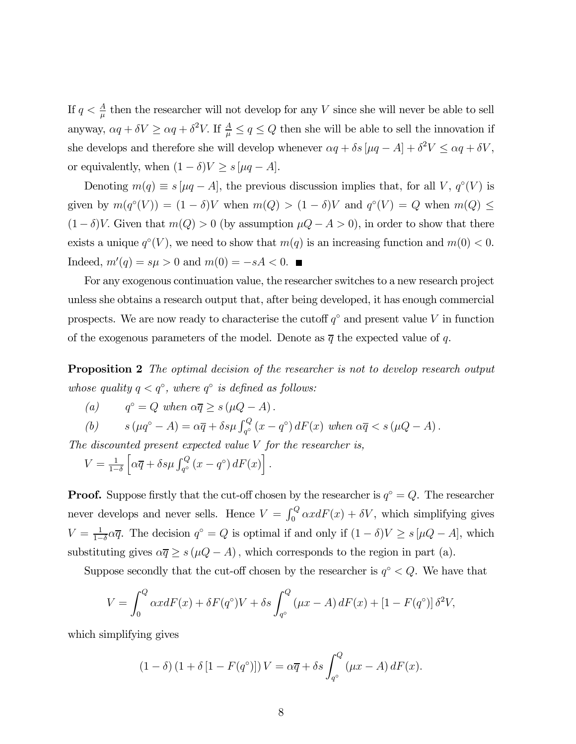If  $q < \frac{A}{\mu}$  then the researcher will not develop for any V since she will never be able to sell anyway,  $\alpha q + \delta V \ge \alpha q + \delta^2 V$ . If  $\frac{A}{\mu} \le q \le Q$  then she will be able to sell the innovation if she develops and therefore she will develop whenever  $\alpha q + \delta s [\mu q - A] + \delta^2 V \leq \alpha q + \delta V$ , or equivalently, when  $(1 - \delta)V \ge s \left[ \mu q - A \right]$ .

Denoting  $m(q) \equiv s \left[ \mu q - A \right]$ , the previous discussion implies that, for all V,  $q^{\circ}(V)$  is given by  $m(q°(V)) = (1 - \delta)V$  when  $m(Q) > (1 - \delta)V$  and  $q°(V) = Q$  when  $m(Q) \le$  $(1 - \delta)V$ . Given that  $m(Q) > 0$  (by assumption  $\mu Q - A > 0$ ), in order to show that there exists a unique  $q<sup>°</sup>(V)$ , we need to show that  $m(q)$  is an increasing function and  $m(0) < 0$ . Indeed,  $m'(q) = s\mu > 0$  and  $m(0) = -sA < 0$ .

For any exogenous continuation value, the researcher switches to a new research project unless she obtains a research output that, after being developed, it has enough commercial prospects. We are now ready to characterise the cutoff  $q<sup>°</sup>$  and present value V in function of the exogenous parameters of the model. Denote as  $\overline{q}$  the expected value of q.

**Proposition 2** The optimal decision of the researcher is not to develop research output whose quality  $q < q^\circ$ , where  $q^\circ$  is defined as follows:

(a) 
$$
q^{\circ} = Q
$$
 when  $\alpha \overline{q} \ge s (\mu Q - A)$ .

(b) 
$$
s(\mu q^{\circ} - A) = \alpha \overline{q} + \delta s \mu \int_{q^{\circ}}^{Q} (x - q^{\circ}) dF(x) \text{ when } \alpha \overline{q} < s(\mu Q - A).
$$

The discounted present expected value  $V$  for the researcher is,

$$
V = \frac{1}{1-\delta} \left[ \alpha \overline{q} + \delta s \mu \int_{q^{\circ}}^{Q} (x - q^{\circ}) dF(x) \right].
$$

**Proof.** Suppose firstly that the cut-off chosen by the researcher is  $q<sup>°</sup> = Q$ . The researcher never develops and never sells. Hence  $V = \int_0^Q \alpha x dF(x) + \delta V$ , which simplifying gives  $V = \frac{1}{1-\delta} \alpha \overline{q}$ . The decision  $q^{\circ} = Q$  is optimal if and only if  $(1 - \delta)V \geq s[\mu Q - A]$ , which substituting gives  $\alpha \overline{q} \geq s (\mu Q - A)$ , which corresponds to the region in part (a).

Suppose secondly that the cut-off chosen by the researcher is  $q<sup>°</sup> < Q$ . We have that

$$
V = \int_0^Q \alpha x dF(x) + \delta F(q^{\circ}) V + \delta s \int_{q^{\circ}}^Q (\mu x - A) dF(x) + [1 - F(q^{\circ})] \delta^2 V,
$$

which simplifying gives

$$
(1 - \delta) (1 + \delta [1 - F(qo)]) V = \alpha \overline{q} + \delta s \int_{qo}^{Q} (\mu x - A) dF(x).
$$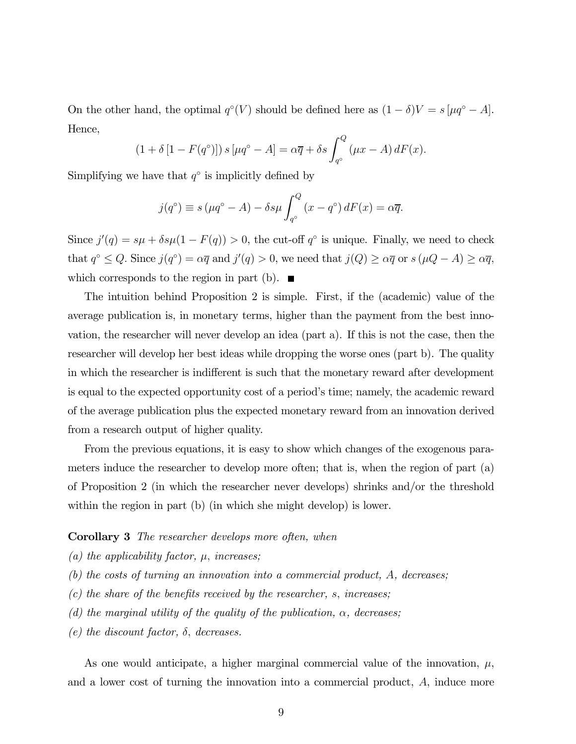On the other hand, the optimal  $q<sup></sup>°($ *V* $) should be defined here as  $(1 - \delta)V = s[\mu q^{\circ} - A]$ .$ Hence,

$$
(1+\delta [1 - F(qo)]) s [\mu qo - A] = \alpha \overline{q} + \delta s \int_{qo}^{Q} (\mu x - A) dF(x).
$$

Simplifying we have that  $q^\circ$  is implicitly defined by

$$
j(q^{\circ}) \equiv s(\mu q^{\circ} - A) - \delta s \mu \int_{q^{\circ}}^{Q} (x - q^{\circ}) dF(x) = \alpha \overline{q}.
$$

Since  $j'(q) = s\mu + \delta s\mu(1 - F(q)) > 0$ , the cut-off  $q^{\circ}$  is unique. Finally, we need to check that  $q^{\circ} \leq Q$ . Since  $j(q^{\circ}) = \alpha \overline{q}$  and  $j'(q) > 0$ , we need that  $j(Q) \geq \alpha \overline{q}$  or  $s(\mu Q - A) \geq \alpha \overline{q}$ , which corresponds to the region in part (b).  $\blacksquare$ 

The intuition behind Proposition 2 is simple. First, if the (academic) value of the average publication is, in monetary terms, higher than the payment from the best innovation, the researcher will never develop an idea (part a). If this is not the case, then the researcher will develop her best ideas while dropping the worse ones (part b). The quality in which the researcher is indifferent is such that the monetary reward after development is equal to the expected opportunity cost of a period's time; namely, the academic reward of the average publication plus the expected monetary reward from an innovation derived from a research output of higher quality.

From the previous equations, it is easy to show which changes of the exogenous parameters induce the researcher to develop more often; that is, when the region of part (a) of Proposition 2 (in which the researcher never develops) shrinks and/or the threshold within the region in part (b) (in which she might develop) is lower.

#### **Corollary 3** The researcher develops more often, when

- (a) the applicability factor,  $\mu$ , increases;
- (b) the costs of turning an innovation into a commercial product, A, decreases;
- (c) the share of the benefits received by the researcher, s, increases;
- (d) the marginal utility of the quality of the publication,  $\alpha$ , decreases;
- (e) the discount factor,  $\delta$ , decreases.

As one would anticipate, a higher marginal commercial value of the innovation,  $\mu$ , and a lower cost of turning the innovation into a commercial product, A, induce more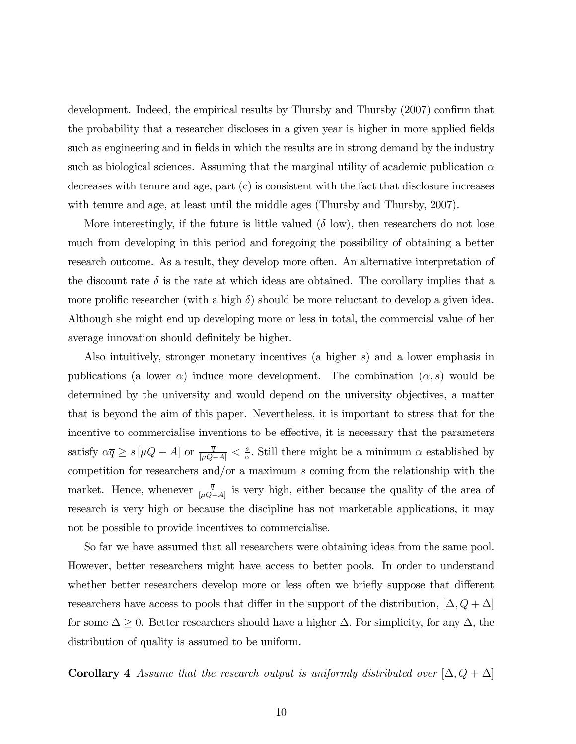development. Indeed, the empirical results by Thursby and Thursby (2007) confirm that the probability that a researcher discloses in a given year is higher in more applied fields such as engineering and in fields in which the results are in strong demand by the industry such as biological sciences. Assuming that the marginal utility of academic publication  $\alpha$ decreases with tenure and age, part (c) is consistent with the fact that disclosure increases with tenure and age, at least until the middle ages (Thursby and Thursby, 2007).

More interestingly, if the future is little valued  $(\delta \text{ low})$ , then researchers do not lose much from developing in this period and foregoing the possibility of obtaining a better research outcome. As a result, they develop more often. An alternative interpretation of the discount rate  $\delta$  is the rate at which ideas are obtained. The corollary implies that a more prolific researcher (with a high  $\delta$ ) should be more reluctant to develop a given idea. Although she might end up developing more or less in total, the commercial value of her average innovation should definitely be higher.

Also intuitively, stronger monetary incentives (a higher s) and a lower emphasis in publications (a lower  $\alpha$ ) induce more development. The combination  $(\alpha, s)$  would be determined by the university and would depend on the university objectives, a matter that is beyond the aim of this paper. Nevertheless, it is important to stress that for the incentive to commercialise inventions to be effective, it is necessary that the parameters satisfy  $\alpha \overline{q} \ge s [\mu Q - A]$  or  $\frac{\overline{q}}{[\mu Q - A]} < \frac{s}{\alpha}$ . Still there might be a minimum  $\alpha$  established by competition for researchers and/or a maximum s coming from the relationship with the market. Hence, whenever  $\frac{\overline{q}}{[\mu Q-A]}$  is very high, either because the quality of the area of research is very high or because the discipline has not marketable applications, it may not be possible to provide incentives to commercialise.

So far we have assumed that all researchers were obtaining ideas from the same pool. However, better researchers might have access to better pools. In order to understand whether better researchers develop more or less often we briefly suppose that different researchers have access to pools that differ in the support of the distribution,  $[\Delta, Q + \Delta]$ for some  $\Delta \geq 0$ . Better researchers should have a higher  $\Delta$ . For simplicity, for any  $\Delta$ , the distribution of quality is assumed to be uniform.

**Corollary 4** Assume that the research output is uniformly distributed over  $[\Delta, Q + \Delta]$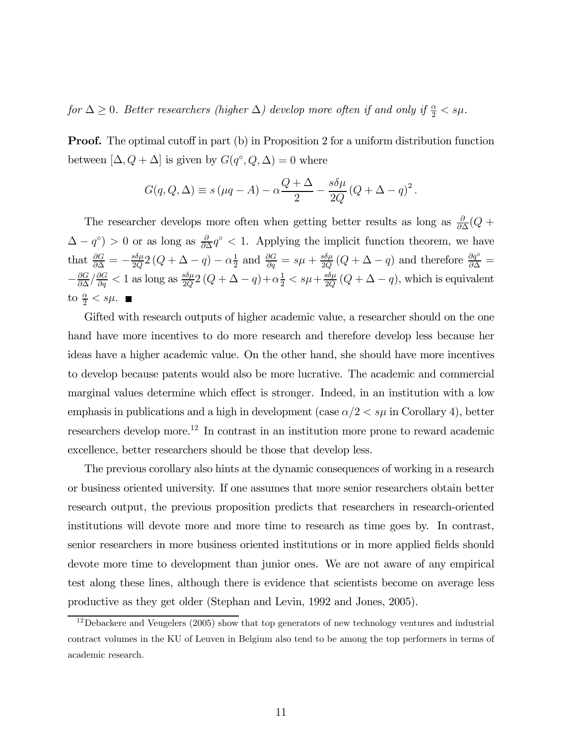for  $\Delta \geq 0$ . Better researchers (higher  $\Delta$ ) develop more often if and only if  $\frac{\alpha}{2} < s\mu$ .

**Proof.** The optimal cutoff in part (b) in Proposition 2 for a uniform distribution function between  $[\Delta, Q + \Delta]$  is given by  $G(q^{\circ}, Q, \Delta) = 0$  where

$$
G(q, Q, \Delta) \equiv s (\mu q - A) - \alpha \frac{Q + \Delta}{2} - \frac{s \delta \mu}{2Q} (Q + \Delta - q)^2.
$$

The researcher develops more often when getting better results as long as  $\frac{\partial}{\partial \Delta}(Q +$  $(\Delta - q^{\circ}) > 0$  or as long as  $\frac{\partial}{\partial \Delta} q^{\circ} < 1$ . Applying the implicit function theorem, we have that  $\frac{\partial G}{\partial \Delta} = -\frac{s\delta \mu}{2Q} 2(Q + \Delta - q) - \alpha \frac{1}{2}$  and  $\frac{\partial G}{\partial q} = s\mu + \frac{s\delta \mu}{2Q}(Q + \Delta - q)$  and therefore  $\frac{\partial q^{\circ}}{\partial \Delta} =$  $-\frac{\partial G}{\partial \Delta}/\frac{\partial G}{\partial q} < 1$  as long as  $\frac{s\delta \mu}{2Q}(Q + \Delta - q) + \alpha \frac{1}{2} < s\mu + \frac{s\delta \mu}{2Q}(Q + \Delta - q)$ , which is equivalent to  $\frac{\alpha}{2} < s\mu$ .

Gifted with research outputs of higher academic value, a researcher should on the one hand have more incentives to do more research and therefore develop less because her ideas have a higher academic value. On the other hand, she should have more incentives to develop because patents would also be more lucrative. The academic and commercial marginal values determine which effect is stronger. Indeed, in an institution with a low emphasis in publications and a high in development (case  $\alpha/2 < s\mu$  in Corollary 4), better researchers develop more.12 In contrast in an institution more prone to reward academic excellence, better researchers should be those that develop less.

The previous corollary also hints at the dynamic consequences of working in a research or business oriented university. If one assumes that more senior researchers obtain better research output, the previous proposition predicts that researchers in research-oriented institutions will devote more and more time to research as time goes by. In contrast, senior researchers in more business oriented institutions or in more applied fields should devote more time to development than junior ones. We are not aware of any empirical test along these lines, although there is evidence that scientists become on average less productive as they get older (Stephan and Levin, 1992 and Jones, 2005).

 $12$ Debackere and Veugelers (2005) show that top generators of new technology ventures and industrial contract volumes in the KU of Leuven in Belgium also tend to be among the top performers in terms of academic research.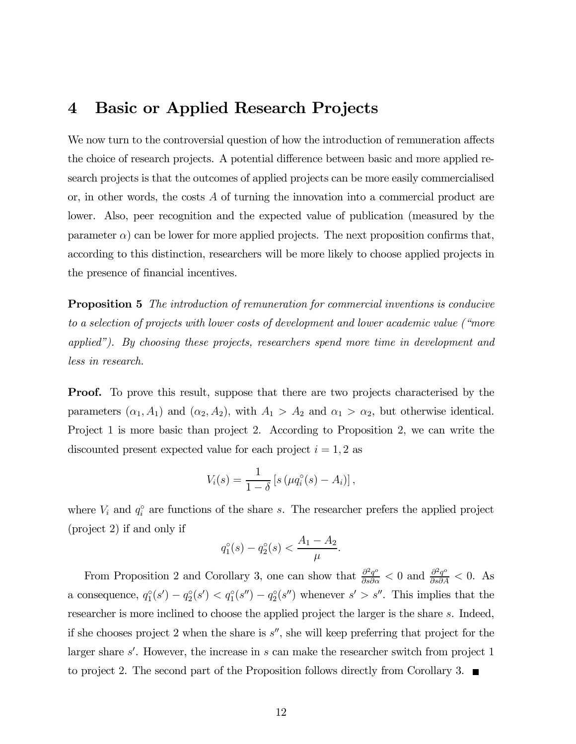### 4 Basic or Applied Research Projects

We now turn to the controversial question of how the introduction of remuneration affects the choice of research projects. A potential difference between basic and more applied research projects is that the outcomes of applied projects can be more easily commercialised or, in other words, the costs A of turning the innovation into a commercial product are lower. Also, peer recognition and the expected value of publication (measured by the parameter  $\alpha$ ) can be lower for more applied projects. The next proposition confirms that, according to this distinction, researchers will be more likely to choose applied projects in the presence of financial incentives.

Proposition 5 The introduction of remuneration for commercial inventions is conducive to a selection of projects with lower costs of development and lower academic value ("more applied"). By choosing these projects, researchers spend more time in development and less in research.

**Proof.** To prove this result, suppose that there are two projects characterised by the parameters  $(\alpha_1, A_1)$  and  $(\alpha_2, A_2)$ , with  $A_1 > A_2$  and  $\alpha_1 > \alpha_2$ , but otherwise identical. Project 1 is more basic than project 2. According to Proposition 2, we can write the discounted present expected value for each project  $i = 1, 2$  as

$$
V_i(s) = \frac{1}{1-\delta} \left[ s \left( \mu q_i^{\circ}(s) - A_i \right) \right],
$$

where  $V_i$  and  $q_i^{\circ}$  are functions of the share s. The researcher prefers the applied project (project 2) if and only if

$$
q_1^{\circ}(s) - q_2^{\circ}(s) < \frac{A_1 - A_2}{\mu}.
$$

From Proposition 2 and Corollary 3, one can show that  $\frac{\partial^2 q^o}{\partial s \partial \alpha} < 0$  and  $\frac{\partial^2 q^o}{\partial s \partial A} < 0$ . As a consequence,  $q_1^{\circ}(s') - q_2^{\circ}(s') < q_1^{\circ}(s'') - q_2^{\circ}(s'')$  whenever  $s' > s''$ . This implies that the researcher is more inclined to choose the applied project the larger is the share s. Indeed, if she chooses project 2 when the share is  $s''$ , she will keep preferring that project for the larger share  $s'$ . However, the increase in s can make the researcher switch from project 1 to project 2. The second part of the Proposition follows directly from Corollary 3.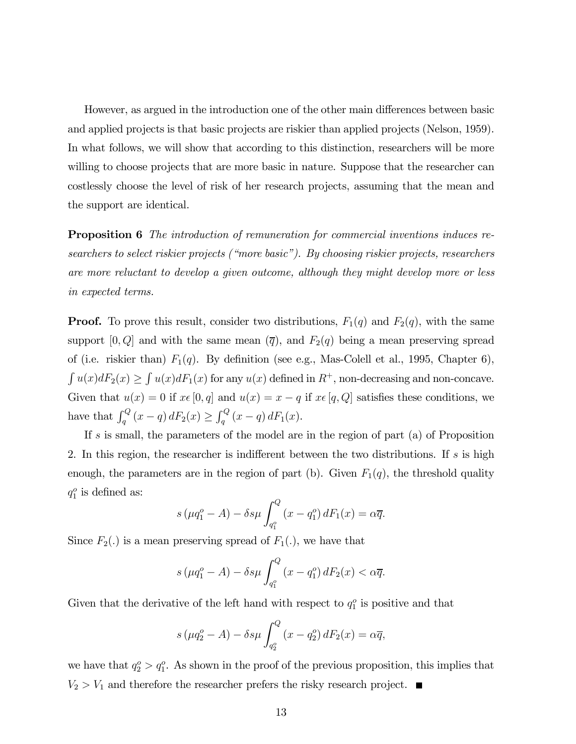However, as argued in the introduction one of the other main differences between basic and applied projects is that basic projects are riskier than applied projects (Nelson, 1959). In what follows, we will show that according to this distinction, researchers will be more willing to choose projects that are more basic in nature. Suppose that the researcher can costlessly choose the level of risk of her research projects, assuming that the mean and the support are identical.

**Proposition 6** The introduction of remuneration for commercial inventions induces researchers to select riskier projects ("more basic"). By choosing riskier projects, researchers are more reluctant to develop a given outcome, although they might develop more or less in expected terms.

**Proof.** To prove this result, consider two distributions,  $F_1(q)$  and  $F_2(q)$ , with the same support  $[0, Q]$  and with the same mean  $(\overline{q})$ , and  $F_2(q)$  being a mean preserving spread of (i.e. riskier than)  $F_1(q)$ . By definition (see e.g., Mas-Colell et al., 1995, Chapter 6),  $\int u(x)dF_2(x) \geq \int u(x)dF_1(x)$  for any  $u(x)$  defined in  $R^+$ , non-decreasing and non-concave. Given that  $u(x)=0$  if  $x\in[0, q]$  and  $u(x) = x - q$  if  $x\in[q, Q]$  satisfies these conditions, we have that  $\int_q^Q (x - q) dF_2(x) \ge \int_q^Q (x - q) dF_1(x)$ .

If s is small, the parameters of the model are in the region of part (a) of Proposition 2. In this region, the researcher is indifferent between the two distributions. If s is high enough, the parameters are in the region of part (b). Given  $F_1(q)$ , the threshold quality  $q_1^o$  is defined as:

$$
s\left(\mu q_1^o - A\right) - \delta s \mu \int_{q_1^o}^Q \left(x - q_1^o\right) dF_1(x) = \alpha \overline{q}.
$$

Since  $F_2(.)$  is a mean preserving spread of  $F_1(.)$ , we have that

$$
s\left(\mu q_1^o - A\right) - \delta s \mu \int_{q_1^o}^Q \left(x - q_1^o\right) dF_2(x) < \alpha \overline{q}.
$$

Given that the derivative of the left hand with respect to  $q_1^o$  is positive and that

$$
s\left(\mu q_2^o - A\right) - \delta s\mu \int_{q_2^o}^Q \left(x - q_2^o\right) dF_2(x) = \alpha \overline{q},
$$

we have that  $q_2^o > q_1^o$ . As shown in the proof of the previous proposition, this implies that  $V_2 > V_1$  and therefore the researcher prefers the risky research project.  $\blacksquare$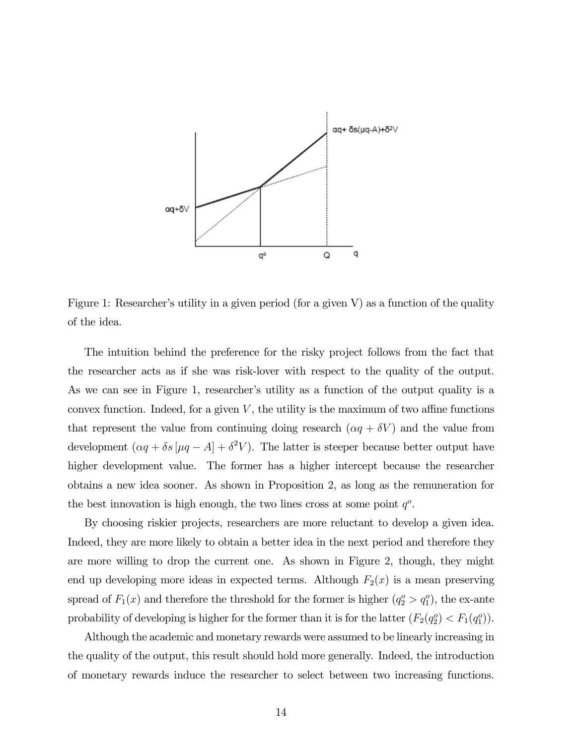

Figure 1: Researcher's utility in a given period (for a given V) as a function of the quality of the idea.

The intuition behind the preference for the risky project follows from the fact that the researcher acts as if she was risk-lover with respect to the quality of the output. As we can see in Figure 1, researcher's utility as a function of the output quality is a convex function. Indeed, for a given  $V$ , the utility is the maximum of two affine functions that represent the value from continuing doing research  $(\alpha q + \delta V)$  and the value from development  $(\alpha q + \delta s [\mu q - A] + \delta^2 V)$ . The latter is steeper because better output have higher development value. The former has a higher intercept because the researcher obtains a new idea sooner. As shown in Proposition 2, as long as the remuneration for the best innovation is high enough, the two lines cross at some point  $q^o$ .

By choosing riskier projects, researchers are more reluctant to develop a given idea. Indeed, they are more likely to obtain a better idea in the next period and therefore they are more willing to drop the current one. As shown in Figure 2, though, they might end up developing more ideas in expected terms. Although  $F_2(x)$  is a mean preserving spread of  $F_1(x)$  and therefore the threshold for the former is higher  $(q_2^o > q_1^o)$ , the ex-ante probability of developing is higher for the former than it is for the latter  $(F_2(q_2^o) < F_1(q_1^o))$ .

Although the academic and monetary rewards were assumed to be linearly increasing in the quality of the output, this result should hold more generally. Indeed, the introduction of monetary rewards induce the researcher to select between two increasing functions.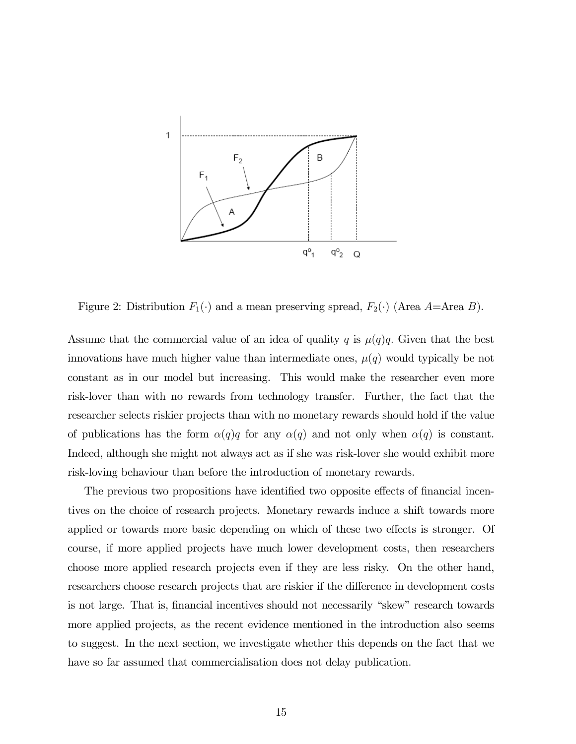

Figure 2: Distribution  $F_1(\cdot)$  and a mean preserving spread,  $F_2(\cdot)$  (Area A=Area B).

Assume that the commercial value of an idea of quality q is  $\mu(q)q$ . Given that the best innovations have much higher value than intermediate ones,  $\mu(q)$  would typically be not constant as in our model but increasing. This would make the researcher even more risk-lover than with no rewards from technology transfer. Further, the fact that the researcher selects riskier projects than with no monetary rewards should hold if the value of publications has the form  $\alpha(q)q$  for any  $\alpha(q)$  and not only when  $\alpha(q)$  is constant. Indeed, although she might not always act as if she was risk-lover she would exhibit more risk-loving behaviour than before the introduction of monetary rewards.

The previous two propositions have identified two opposite effects of financial incentives on the choice of research projects. Monetary rewards induce a shift towards more applied or towards more basic depending on which of these two effects is stronger. Of course, if more applied projects have much lower development costs, then researchers choose more applied research projects even if they are less risky. On the other hand, researchers choose research projects that are riskier if the difference in development costs is not large. That is, financial incentives should not necessarily "skew" research towards more applied projects, as the recent evidence mentioned in the introduction also seems to suggest. In the next section, we investigate whether this depends on the fact that we have so far assumed that commercialisation does not delay publication.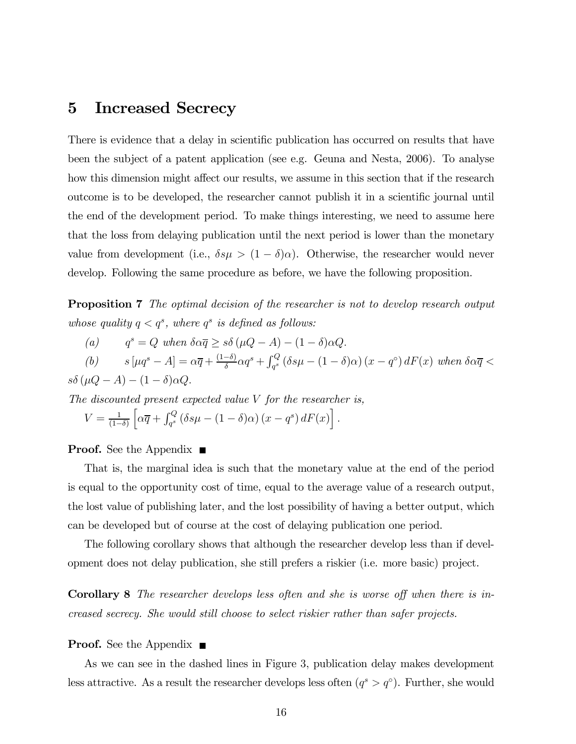#### 5 Increased Secrecy

There is evidence that a delay in scientific publication has occurred on results that have been the subject of a patent application (see e.g. Geuna and Nesta, 2006). To analyse how this dimension might affect our results, we assume in this section that if the research outcome is to be developed, the researcher cannot publish it in a scientific journal until the end of the development period. To make things interesting, we need to assume here that the loss from delaying publication until the next period is lower than the monetary value from development (i.e.,  $\delta s \mu > (1 - \delta) \alpha$ ). Otherwise, the researcher would never develop. Following the same procedure as before, we have the following proposition.

**Proposition 7** The optimal decision of the researcher is not to develop research output whose quality  $q < q^s$ , where  $q^s$  is defined as follows:

(a) 
$$
q^s = Q
$$
 when  $\delta \alpha \overline{q} \geq s\delta (\mu Q - A) - (1 - \delta)\alpha Q$ .

(b)  $s \left[ \mu q^s - A \right] = \alpha \overline{q} + \frac{(1-\delta)}{\delta} \alpha q^s + \int_{q^s}^Q (\delta s \mu - (1-\delta) \alpha) (x - q^{\circ}) dF(x)$  when  $\delta \alpha \overline{q} <$  $s\delta(\mu Q - A) - (1 - \delta)\alpha Q.$ 

The discounted present expected value V for the researcher is,

$$
V = \frac{1}{(1-\delta)} \left[ \alpha \overline{q} + \int_{q^s}^Q (\delta s \mu - (1-\delta)\alpha) (x-q^s) dF(x) \right].
$$

#### **Proof.** See the Appendix ■

That is, the marginal idea is such that the monetary value at the end of the period is equal to the opportunity cost of time, equal to the average value of a research output, the lost value of publishing later, and the lost possibility of having a better output, which can be developed but of course at the cost of delaying publication one period.

The following corollary shows that although the researcher develop less than if development does not delay publication, she still prefers a riskier (i.e. more basic) project.

Corollary 8 The researcher develops less often and she is worse off when there is increased secrecy. She would still choose to select riskier rather than safer projects.

#### **Proof.** See the Appendix ■

As we can see in the dashed lines in Figure 3, publication delay makes development less attractive. As a result the researcher develops less often  $(q^s > q^{\circ})$ . Further, she would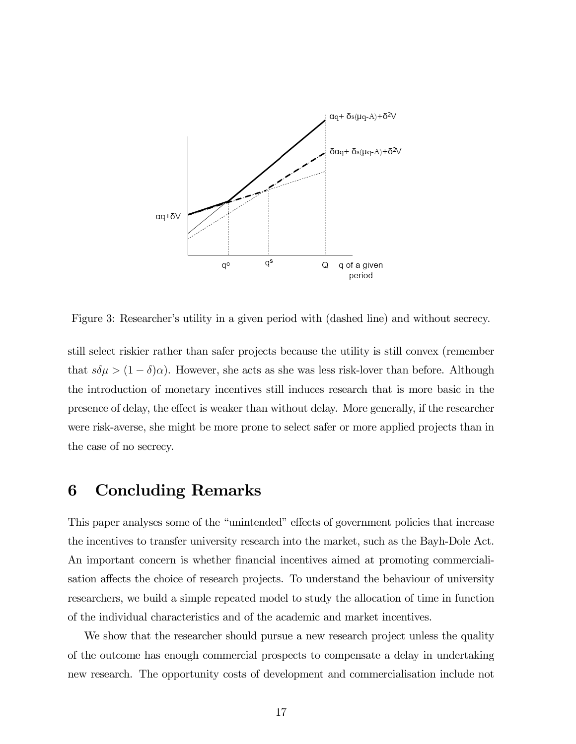

Figure 3: Researcher's utility in a given period with (dashed line) and without secrecy.

still select riskier rather than safer projects because the utility is still convex (remember that  $s\delta\mu > (1 - \delta)\alpha$ ). However, she acts as she was less risk-lover than before. Although the introduction of monetary incentives still induces research that is more basic in the presence of delay, the effect is weaker than without delay. More generally, if the researcher were risk-averse, she might be more prone to select safer or more applied projects than in the case of no secrecy.

#### 6 Concluding Remarks

This paper analyses some of the "unintended" effects of government policies that increase the incentives to transfer university research into the market, such as the Bayh-Dole Act. An important concern is whether financial incentives aimed at promoting commercialisation affects the choice of research projects. To understand the behaviour of university researchers, we build a simple repeated model to study the allocation of time in function of the individual characteristics and of the academic and market incentives.

We show that the researcher should pursue a new research project unless the quality of the outcome has enough commercial prospects to compensate a delay in undertaking new research. The opportunity costs of development and commercialisation include not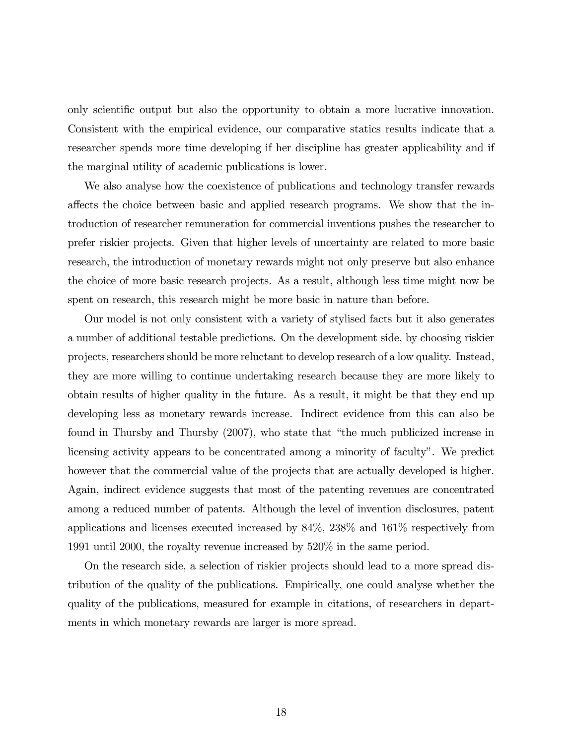only scientific output but also the opportunity to obtain a more lucrative innovation. Consistent with the empirical evidence, our comparative statics results indicate that a researcher spends more time developing if her discipline has greater applicability and if the marginal utility of academic publications is lower.

We also analyse how the coexistence of publications and technology transfer rewards affects the choice between basic and applied research programs. We show that the introduction of researcher remuneration for commercial inventions pushes the researcher to prefer riskier projects. Given that higher levels of uncertainty are related to more basic research, the introduction of monetary rewards might not only preserve but also enhance the choice of more basic research projects. As a result, although less time might now be spent on research, this research might be more basic in nature than before.

Our model is not only consistent with a variety of stylised facts but it also generates a number of additional testable predictions. On the development side, by choosing riskier projects, researchers should be more reluctant to develop research of a low quality. Instead, they are more willing to continue undertaking research because they are more likely to obtain results of higher quality in the future. As a result, it might be that they end up developing less as monetary rewards increase. Indirect evidence from this can also be found in Thursby and Thursby (2007), who state that "the much publicized increase in licensing activity appears to be concentrated among a minority of faculty". We predict however that the commercial value of the projects that are actually developed is higher. Again, indirect evidence suggests that most of the patenting revenues are concentrated among a reduced number of patents. Although the level of invention disclosures, patent applications and licenses executed increased by 84%, 238% and 161% respectively from 1991 until 2000, the royalty revenue increased by 520% in the same period.

On the research side, a selection of riskier projects should lead to a more spread distribution of the quality of the publications. Empirically, one could analyse whether the quality of the publications, measured for example in citations, of researchers in departments in which monetary rewards are larger is more spread.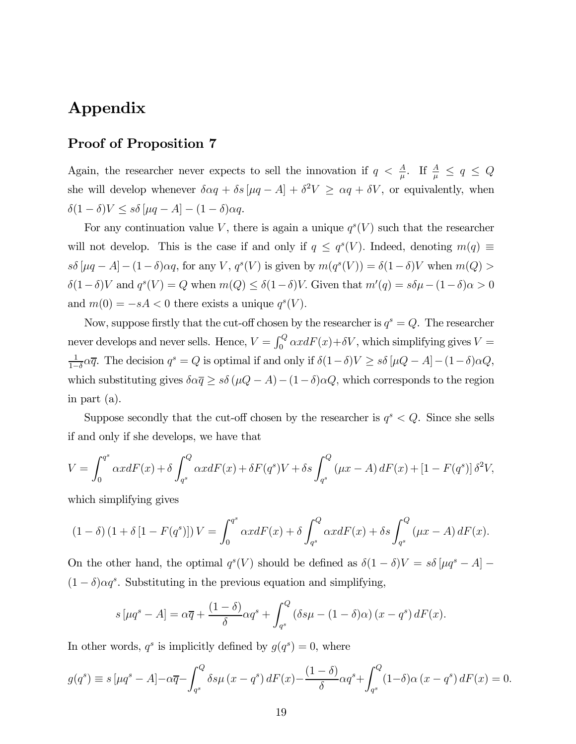## Appendix

#### Proof of Proposition 7

Again, the researcher never expects to sell the innovation if  $q < \frac{A}{\mu}$ . If  $\frac{A}{\mu} \le q \le Q$ she will develop whenever  $\delta \alpha q + \delta s [\mu q - A] + \delta^2 V \ge \alpha q + \delta V$ , or equivalently, when  $\delta(1-\delta)V \leq s\delta \left[\mu q - A\right] - (1-\delta)\alpha q.$ 

For any continuation value V, there is again a unique  $q^{s}(V)$  such that the researcher will not develop. This is the case if and only if  $q \leq q^s(V)$ . Indeed, denoting  $m(q) \equiv$  $s\delta \left[ \mu q - A \right] - (1 - \delta) \alpha q$ , for any V,  $q^s(V)$  is given by  $m(q^s(V)) = \delta (1 - \delta) V$  when  $m(Q) >$  $\delta(1-\delta)V$  and  $q^{s}(V) = Q$  when  $m(Q) \leq \delta(1-\delta)V$ . Given that  $m'(q) = s\delta\mu - (1-\delta)\alpha > 0$ and  $m(0) = -sA < 0$  there exists a unique  $q^{s}(V)$ .

Now, suppose firstly that the cut-off chosen by the researcher is  $q^s = Q$ . The researcher never develops and never sells. Hence,  $V = \int_0^Q \alpha x dF(x) + \delta V$ , which simplifying gives  $V =$  $\frac{1}{1-\delta} \alpha \overline{q}$ . The decision  $q^s = Q$  is optimal if and only if  $\delta(1-\delta)V \geq s\delta[\mu Q - A] - (1-\delta)\alpha Q$ , which substituting gives  $\delta \alpha \overline{q} \geq s \delta (\mu Q - A) - (1 - \delta) \alpha Q$ , which corresponds to the region in part (a).

Suppose secondly that the cut-off chosen by the researcher is  $q^s < Q$ . Since she sells if and only if she develops, we have that

$$
V = \int_0^{q^s} \alpha x dF(x) + \delta \int_{q^s}^Q \alpha x dF(x) + \delta F(q^s) V + \delta s \int_{q^s}^Q (\mu x - A) dF(x) + [1 - F(q^s)] \delta^2 V,
$$

which simplifying gives

$$
(1 - \delta) (1 + \delta [1 - F(qs)]) V = \int_0^{qs} \alpha x dF(x) + \delta \int_{qs}^Q \alpha x dF(x) + \delta s \int_{qs}^Q (\mu x - A) dF(x).
$$

On the other hand, the optimal  $q^{s}(V)$  should be defined as  $\delta(1 - \delta)V = s\delta[\mu q^{s} - A]$  $(1 - \delta)\alpha q^s$ . Substituting in the previous equation and simplifying,

$$
s \left[ \mu q^s - A \right] = \alpha \overline{q} + \frac{(1 - \delta)}{\delta} \alpha q^s + \int_{q^s}^Q \left( \delta s \mu - (1 - \delta) \alpha \right) (x - q^s) dF(x).
$$

In other words,  $q^s$  is implicitly defined by  $g(q^s)=0$ , where

$$
g(q^s) \equiv s \left[ \mu q^s - A \right] - \alpha \overline{q} - \int_{q^s}^Q \delta s \mu \left( x - q^s \right) dF(x) - \frac{(1 - \delta)}{\delta} \alpha q^s + \int_{q^s}^Q (1 - \delta) \alpha \left( x - q^s \right) dF(x) = 0.
$$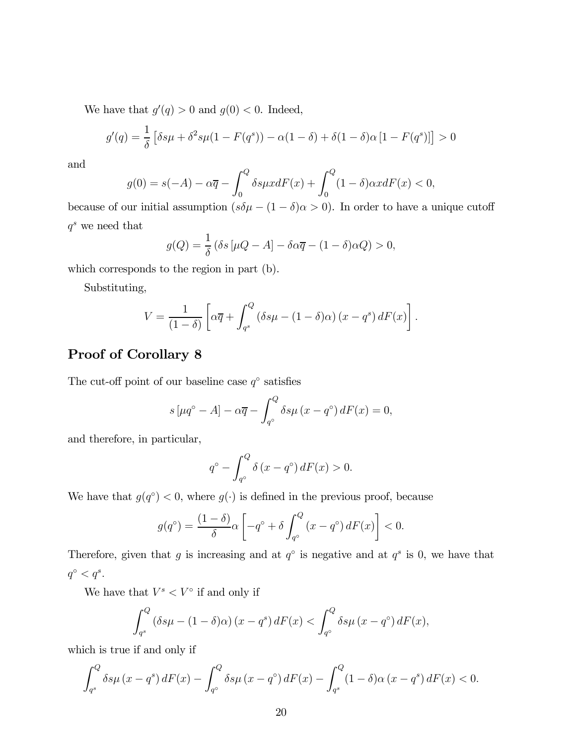We have that  $g'(q) > 0$  and  $g(0) < 0$ . Indeed,

$$
g'(q) = \frac{1}{\delta} \left[ \delta s \mu + \delta^2 s \mu (1 - F(q^s)) - \alpha (1 - \delta) + \delta (1 - \delta) \alpha [1 - F(q^s)] \right] > 0
$$

and

$$
g(0) = s(-A) - \alpha \overline{q} - \int_0^Q \delta s \mu x dF(x) + \int_0^Q (1 - \delta) \alpha x dF(x) < 0,
$$

because of our initial assumption  $(s\delta\mu - (1 - \delta)\alpha > 0)$ . In order to have a unique cutoff  $\boldsymbol{q}^s$  we need that

$$
g(Q) = \frac{1}{\delta} (\delta s \left[ \mu Q - A \right] - \delta \alpha \overline{q} - (1 - \delta) \alpha Q) > 0,
$$

which corresponds to the region in part (b).

Substituting,

$$
V = \frac{1}{(1-\delta)} \left[ \alpha \overline{q} + \int_{q^s}^Q (\delta s \mu - (1-\delta)\alpha) (x-q^s) dF(x) \right].
$$

#### Proof of Corollary 8

The cut-off point of our baseline case  $q^{\circ}$  satisfies

$$
s\left[\mu q^{\circ} - A\right] - \alpha \overline{q} - \int_{q^{\circ}}^{Q} \delta s \mu \left(x - q^{\circ}\right) dF(x) = 0,
$$

and therefore, in particular,

$$
q^{\circ} - \int_{q^{\circ}}^{Q} \delta(x - q^{\circ}) dF(x) > 0.
$$

We have that  $g(q<sup>°</sup>) < 0$ , where  $g(·)$  is defined in the previous proof, because

$$
g(q^{\circ}) = \frac{(1-\delta)}{\delta} \alpha \left[ -q^{\circ} + \delta \int_{q^{\circ}}^{Q} (x - q^{\circ}) dF(x) \right] < 0.
$$

Therefore, given that g is increasing and at  $q^{\circ}$  is negative and at  $q^s$  is 0, we have that  $q^{\circ} < q^s.$ 

We have that  $V^s < V^{\circ}$  if and only if

$$
\int_{q^s}^{Q} \left( \delta s \mu - (1 - \delta) \alpha \right) (x - q^s) dF(x) < \int_{q^\circ}^{Q} \delta s \mu \left( x - q^\circ \right) dF(x),
$$

which is true if and only if

$$
\int_{q^s}^{Q} \delta s \mu (x - q^s) dF(x) - \int_{q^{\circ}}^{Q} \delta s \mu (x - q^{\circ}) dF(x) - \int_{q^s}^{Q} (1 - \delta) \alpha (x - q^s) dF(x) < 0.
$$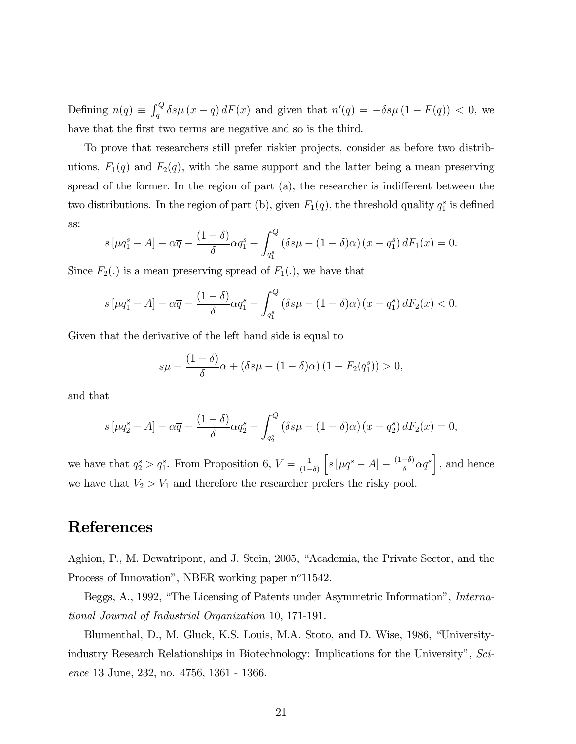Defining  $n(q) \equiv \int_q^Q \delta s \mu (x - q) dF(x)$  and given that  $n'(q) = -\delta s \mu (1 - F(q)) < 0$ , we have that the first two terms are negative and so is the third.

To prove that researchers still prefer riskier projects, consider as before two distributions,  $F_1(q)$  and  $F_2(q)$ , with the same support and the latter being a mean preserving spread of the former. In the region of part (a), the researcher is indifferent between the two distributions. In the region of part (b), given  $F_1(q)$ , the threshold quality  $q_1^s$  is defined as:

$$
s\left[\mu q_1^s - A\right] - \alpha \overline{q} - \frac{(1-\delta)}{\delta} \alpha q_1^s - \int_{q_1^s}^Q \left(\delta s \mu - (1-\delta)\alpha\right) \left(x - q_1^s\right) dF_1(x) = 0.
$$

Since  $F_2(.)$  is a mean preserving spread of  $F_1(.)$ , we have that

$$
s\left[\mu q_1^s - A\right] - \alpha \overline{q} - \frac{(1-\delta)}{\delta} \alpha q_1^s - \int_{q_1^s}^Q \left(\delta s \mu - (1-\delta)\alpha\right) \left(x - q_1^s\right) dF_2(x) < 0.
$$

Given that the derivative of the left hand side is equal to

$$
s\mu - \frac{(1-\delta)}{\delta}\alpha + (\delta s\mu - (1-\delta)\alpha)(1 - F_2(q_1^s)) > 0,
$$

and that

$$
s\left[\mu q_2^s - A\right] - \alpha \overline{q} - \frac{(1-\delta)}{\delta} \alpha q_2^s - \int_{q_2^s}^Q \left(\delta s \mu - (1-\delta)\alpha\right) \left(x - q_2^s\right) dF_2(x) = 0,
$$

we have that  $q_2^s > q_1^s$ . From Proposition 6,  $V = \frac{1}{(1-\delta)}$  $\left[s\left[\mu q^{s}-A\right]-\frac{(1-\delta)}{\delta}\alpha q^{s}\right],$  and hence we have that  $V_2 > V_1$  and therefore the researcher prefers the risky pool.

## References

Aghion, P., M. Dewatripont, and J. Stein, 2005, "Academia, the Private Sector, and the Process of Innovation", NBER working paper  $n^{\circ}11542$ .

Beggs, A., 1992, "The Licensing of Patents under Asymmetric Information", International Journal of Industrial Organization 10, 171-191.

Blumenthal, D., M. Gluck, K.S. Louis, M.A. Stoto, and D. Wise, 1986, "Universityindustry Research Relationships in Biotechnology: Implications for the University", Science 13 June, 232, no. 4756, 1361 - 1366.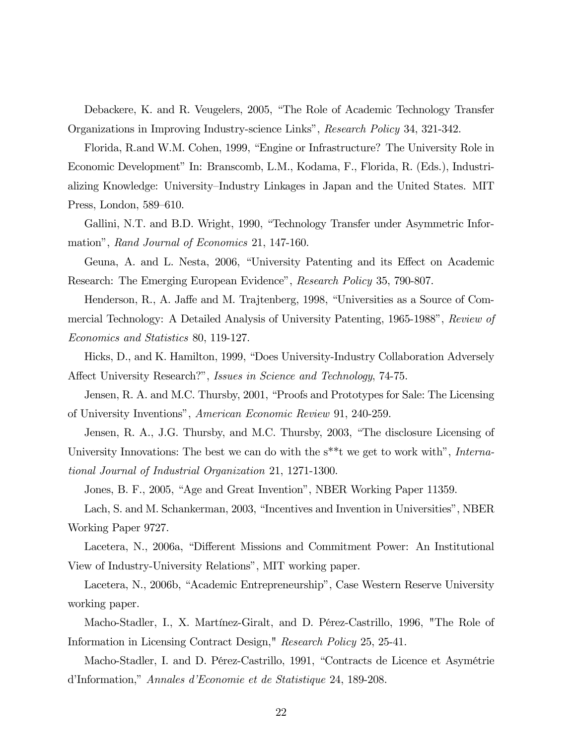Debackere, K. and R. Veugelers, 2005, "The Role of Academic Technology Transfer Organizations in Improving Industry-science Links", Research Policy 34, 321-342.

Florida, R.and W.M. Cohen, 1999, "Engine or Infrastructure? The University Role in Economic Development" In: Branscomb, L.M., Kodama, F., Florida, R. (Eds.), Industrializing Knowledge: University—Industry Linkages in Japan and the United States. MIT Press, London, 589—610.

Gallini, N.T. and B.D. Wright, 1990, "Technology Transfer under Asymmetric Information", Rand Journal of Economics 21, 147-160.

Geuna, A. and L. Nesta, 2006, "University Patenting and its Effect on Academic Research: The Emerging European Evidence", Research Policy 35, 790-807.

Henderson, R., A. Jaffe and M. Trajtenberg, 1998, "Universities as a Source of Commercial Technology: A Detailed Analysis of University Patenting, 1965-1988", Review of Economics and Statistics 80, 119-127.

Hicks, D., and K. Hamilton, 1999, "Does University-Industry Collaboration Adversely Affect University Research?", Issues in Science and Technology, 74-75.

Jensen, R. A. and M.C. Thursby, 2001, "Proofs and Prototypes for Sale: The Licensing of University Inventions", American Economic Review 91, 240-259.

Jensen, R. A., J.G. Thursby, and M.C. Thursby, 2003, "The disclosure Licensing of University Innovations: The best we can do with the s<sup>\*\*\*</sup>t we get to work with", International Journal of Industrial Organization 21, 1271-1300.

Jones, B. F., 2005, "Age and Great Invention", NBER Working Paper 11359.

Lach, S. and M. Schankerman, 2003, "Incentives and Invention in Universities", NBER Working Paper 9727.

Lacetera, N., 2006a, "Different Missions and Commitment Power: An Institutional View of Industry-University Relations", MIT working paper.

Lacetera, N., 2006b, "Academic Entrepreneurship", Case Western Reserve University working paper.

Macho-Stadler, I., X. Martínez-Giralt, and D. Pérez-Castrillo, 1996, "The Role of Information in Licensing Contract Design," Research Policy 25, 25-41.

Macho-Stadler, I. and D. Pérez-Castrillo, 1991, "Contracts de Licence et Asymétrie d'Information," Annales d'Economie et de Statistique 24, 189-208.